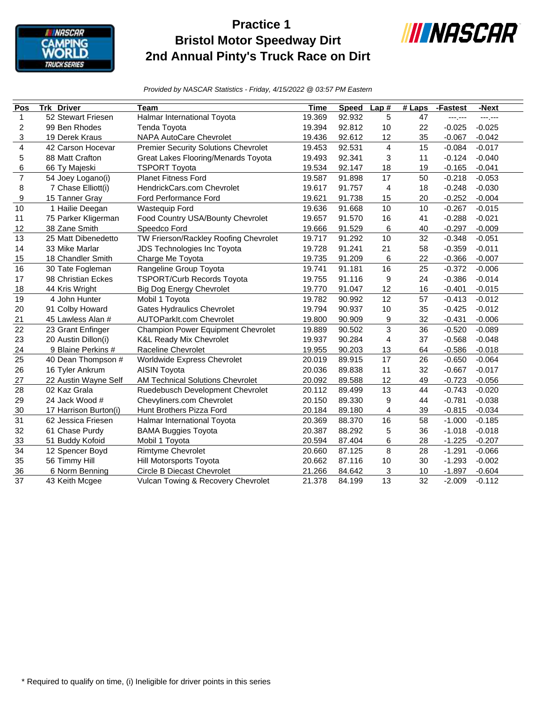

## **Practice 1 Bristol Motor Speedway Dirt 2nd Annual Pinty's Truck Race on Dirt**



*Provided by NASCAR Statistics - Friday, 4/15/2022 @ 03:57 PM Eastern*

| Pos            | <b>Trk Driver</b>     | <b>Team</b>                                 | <b>Time</b> | <b>Speed</b> | Lap#           | $#$ Laps | -Fastest | -Next    |
|----------------|-----------------------|---------------------------------------------|-------------|--------------|----------------|----------|----------|----------|
| 1              | 52 Stewart Friesen    | Halmar International Toyota                 | 19.369      | 92.932       | 5              | 47       | ---;---  | ---.---  |
| 2              | 99 Ben Rhodes         | Tenda Toyota                                | 19.394      | 92.812       | 10             | 22       | $-0.025$ | $-0.025$ |
| 3              | 19 Derek Kraus        | NAPA AutoCare Chevrolet                     | 19.436      | 92.612       | 12             | 35       | $-0.067$ | $-0.042$ |
| 4              | 42 Carson Hocevar     | <b>Premier Security Solutions Chevrolet</b> | 19.453      | 92.531       | $\overline{4}$ | 15       | $-0.084$ | $-0.017$ |
| 5              | 88 Matt Crafton       | Great Lakes Flooring/Menards Toyota         | 19.493      | 92.341       | 3              | 11       | $-0.124$ | $-0.040$ |
| 6              | 66 Ty Majeski         | <b>TSPORT Toyota</b>                        | 19.534      | 92.147       | 18             | 19       | $-0.165$ | $-0.041$ |
| $\overline{7}$ | 54 Joey Logano(i)     | <b>Planet Fitness Ford</b>                  | 19.587      | 91.898       | 17             | 50       | $-0.218$ | $-0.053$ |
| 8              | 7 Chase Elliott(i)    | HendrickCars.com Chevrolet                  | 19.617      | 91.757       | 4              | 18       | $-0.248$ | $-0.030$ |
| 9              | 15 Tanner Gray        | <b>Ford Performance Ford</b>                | 19.621      | 91.738       | 15             | 20       | $-0.252$ | $-0.004$ |
| 10             | 1 Hailie Deegan       | <b>Wastequip Ford</b>                       | 19.636      | 91.668       | 10             | 10       | $-0.267$ | $-0.015$ |
| 11             | 75 Parker Kligerman   | Food Country USA/Bounty Chevrolet           | 19.657      | 91.570       | 16             | 41       | $-0.288$ | $-0.021$ |
| 12             | 38 Zane Smith         | Speedco Ford                                | 19.666      | 91.529       | 6              | 40       | $-0.297$ | $-0.009$ |
| 13             | 25 Matt Dibenedetto   | TW Frierson/Rackley Roofing Chevrolet       | 19.717      | 91.292       | 10             | 32       | $-0.348$ | $-0.051$ |
| 14             | 33 Mike Marlar        | JDS Technologies Inc Toyota                 | 19.728      | 91.241       | 21             | 58       | $-0.359$ | $-0.011$ |
| 15             | 18 Chandler Smith     | Charge Me Toyota                            | 19.735      | 91.209       | 6              | 22       | $-0.366$ | $-0.007$ |
| 16             | 30 Tate Fogleman      | Rangeline Group Toyota                      | 19.741      | 91.181       | 16             | 25       | $-0.372$ | $-0.006$ |
| 17             | 98 Christian Eckes    | <b>TSPORT/Curb Records Toyota</b>           | 19.755      | 91.116       | 9              | 24       | $-0.386$ | $-0.014$ |
| 18             | 44 Kris Wright        | <b>Big Dog Energy Chevrolet</b>             | 19.770      | 91.047       | 12             | 16       | $-0.401$ | $-0.015$ |
| 19             | 4 John Hunter         | Mobil 1 Toyota                              | 19.782      | 90.992       | 12             | 57       | $-0.413$ | $-0.012$ |
| 20             | 91 Colby Howard       | <b>Gates Hydraulics Chevrolet</b>           | 19.794      | 90.937       | 10             | 35       | $-0.425$ | $-0.012$ |
| 21             | 45 Lawless Alan #     | AUTOParkIt.com Chevrolet                    | 19.800      | 90.909       | 9              | 32       | $-0.431$ | $-0.006$ |
| 22             | 23 Grant Enfinger     | Champion Power Equipment Chevrolet          | 19.889      | 90.502       | 3              | 36       | $-0.520$ | $-0.089$ |
| 23             | 20 Austin Dillon(i)   | <b>K&amp;L Ready Mix Chevrolet</b>          | 19.937      | 90.284       | 4              | 37       | $-0.568$ | $-0.048$ |
| 24             | 9 Blaine Perkins #    | Raceline Chevrolet                          | 19.955      | 90.203       | 13             | 64       | $-0.586$ | $-0.018$ |
| 25             | 40 Dean Thompson #    | Worldwide Express Chevrolet                 | 20.019      | 89.915       | 17             | 26       | $-0.650$ | $-0.064$ |
| 26             | 16 Tyler Ankrum       | <b>AISIN Toyota</b>                         | 20.036      | 89.838       | 11             | 32       | $-0.667$ | $-0.017$ |
| 27             | 22 Austin Wayne Self  | <b>AM Technical Solutions Chevrolet</b>     | 20.092      | 89.588       | 12             | 49       | $-0.723$ | $-0.056$ |
| 28             | 02 Kaz Grala          | Ruedebusch Development Chevrolet            | 20.112      | 89.499       | 13             | 44       | $-0.743$ | $-0.020$ |
| 29             | 24 Jack Wood #        | Chevyliners.com Chevrolet                   | 20.150      | 89.330       | 9              | 44       | $-0.781$ | $-0.038$ |
| 30             | 17 Harrison Burton(i) | Hunt Brothers Pizza Ford                    | 20.184      | 89.180       | 4              | 39       | $-0.815$ | $-0.034$ |
| 31             | 62 Jessica Friesen    | Halmar International Toyota                 | 20.369      | 88.370       | 16             | 58       | $-1.000$ | $-0.185$ |
| 32             | 61 Chase Purdy        | <b>BAMA Buggies Toyota</b>                  | 20.387      | 88.292       | 5              | 36       | $-1.018$ | $-0.018$ |
| 33             | 51 Buddy Kofoid       | Mobil 1 Toyota                              | 20.594      | 87.404       | 6              | 28       | $-1.225$ | $-0.207$ |
| 34             | 12 Spencer Boyd       | <b>Rimtyme Chevrolet</b>                    | 20.660      | 87.125       | 8              | 28       | $-1.291$ | $-0.066$ |
| 35             | 56 Timmy Hill         | Hill Motorsports Toyota                     | 20.662      | 87.116       | 10             | 30       | $-1.293$ | $-0.002$ |
| 36             | 6 Norm Benning        | <b>Circle B Diecast Chevrolet</b>           | 21.266      | 84.642       | 3              | 10       | $-1.897$ | $-0.604$ |
| 37             | 43 Keith Mcgee        | Vulcan Towing & Recovery Chevrolet          | 21.378      | 84.199       | 13             | 32       | $-2.009$ | $-0.112$ |